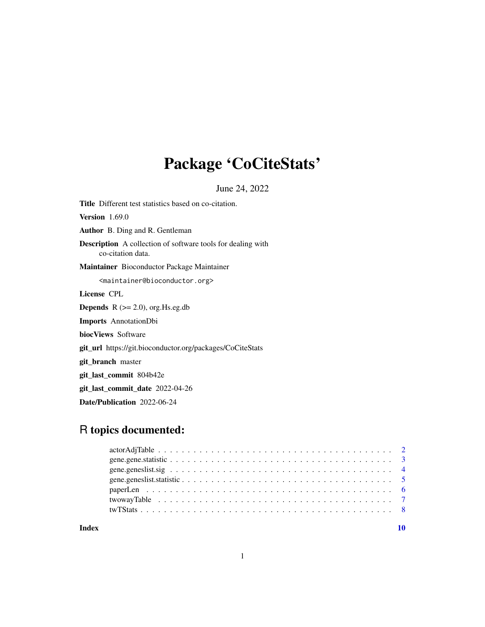## Package 'CoCiteStats'

June 24, 2022

Title Different test statistics based on co-citation. Version 1.69.0 Author B. Ding and R. Gentleman Description A collection of software tools for dealing with co-citation data. Maintainer Bioconductor Package Maintainer <maintainer@bioconductor.org> License CPL **Depends**  $R$  ( $>= 2.0$ ), org. Hs.eg.db Imports AnnotationDbi biocViews Software git\_url https://git.bioconductor.org/packages/CoCiteStats git\_branch master git\_last\_commit 804b42e git\_last\_commit\_date 2022-04-26

Date/Publication 2022-06-24

## R topics documented:

| Index |  |
|-------|--|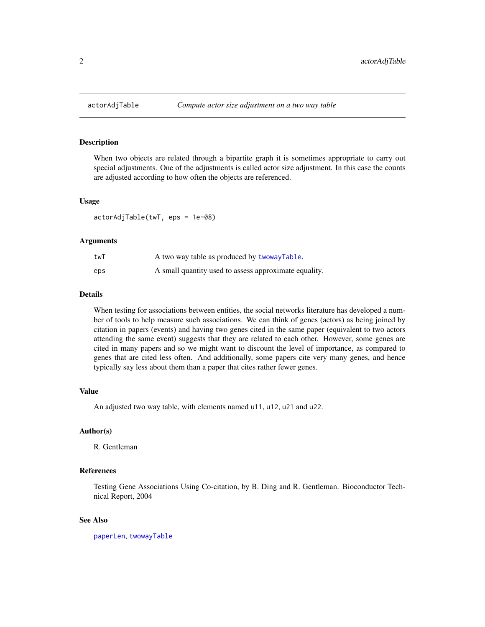<span id="page-1-1"></span><span id="page-1-0"></span>

#### Description

When two objects are related through a bipartite graph it is sometimes appropriate to carry out special adjustments. One of the adjustments is called actor size adjustment. In this case the counts are adjusted according to how often the objects are referenced.

#### Usage

actorAdjTable(twT, eps = 1e-08)

#### Arguments

| twT | A two way table as produced by twowayTable.           |
|-----|-------------------------------------------------------|
| eps | A small quantity used to assess approximate equality. |

#### Details

When testing for associations between entities, the social networks literature has developed a number of tools to help measure such associations. We can think of genes (actors) as being joined by citation in papers (events) and having two genes cited in the same paper (equivalent to two actors attending the same event) suggests that they are related to each other. However, some genes are cited in many papers and so we might want to discount the level of importance, as compared to genes that are cited less often. And additionally, some papers cite very many genes, and hence typically say less about them than a paper that cites rather fewer genes.

#### Value

An adjusted two way table, with elements named u11, u12, u21 and u22.

#### Author(s)

R. Gentleman

#### References

Testing Gene Associations Using Co-citation, by B. Ding and R. Gentleman. Bioconductor Technical Report, 2004

#### See Also

[paperLen](#page-5-1), [twowayTable](#page-6-1)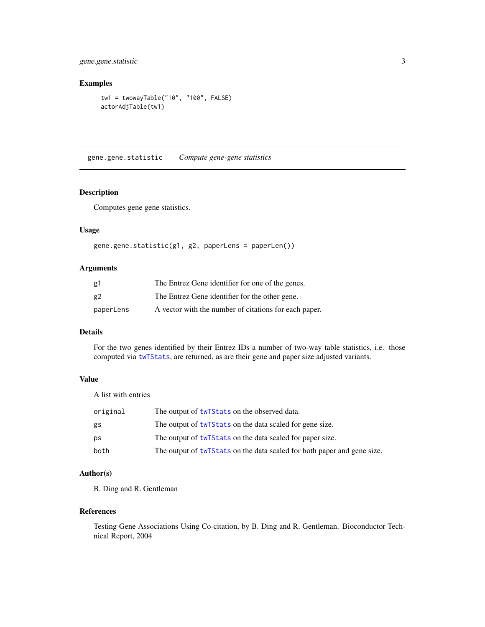<span id="page-2-0"></span>gene.gene.statistic 3

#### Examples

```
tw1 = twowayTable("10", "100", FALSE)
actorAdjTable(tw1)
```
gene.gene.statistic *Compute gene-gene statistics*

#### Description

Computes gene gene statistics.

#### Usage

```
gene.gene.statistic(g1, g2, paperLens = paperLen())
```
#### Arguments

| g1        | The Entrez Gene identifier for one of the genes.      |
|-----------|-------------------------------------------------------|
| g2        | The Entrez Gene identifier for the other gene.        |
| paperLens | A vector with the number of citations for each paper. |

#### Details

For the two genes identified by their Entrez IDs a number of two-way table statistics, i.e. those computed via [twTStats](#page-7-1), are returned, as are their gene and paper size adjusted variants.

#### Value

A list with entries

| original | The output of twTStats on the observed data.                            |
|----------|-------------------------------------------------------------------------|
| gs       | The output of twt Stats on the data scaled for gene size.               |
| ps       | The output of two states on the data scaled for paper size.             |
| both     | The output of twTStats on the data scaled for both paper and gene size. |

#### Author(s)

B. Ding and R. Gentleman

#### References

Testing Gene Associations Using Co-citation, by B. Ding and R. Gentleman. Bioconductor Technical Report, 2004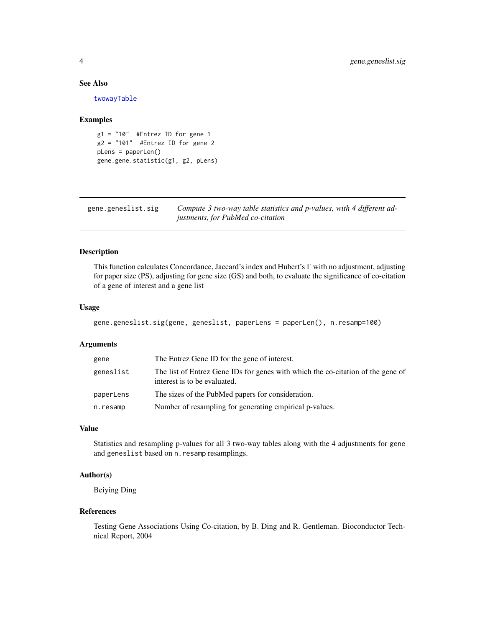#### See Also

[twowayTable](#page-6-1)

#### Examples

```
g1 = "10" #Entrez ID for gene 1
g2 = "101" #Entrez ID for gene 2
pLens = paperLen()
gene.gene.statistic(g1, g2, pLens)
```
gene.geneslist.sig *Compute 3 two-way table statistics and p-values, with 4 different adjustments, for PubMed co-citation*

#### Description

This function calculates Concordance, Jaccard's index and Hubert's Γ with no adjustment, adjusting for paper size (PS), adjusting for gene size (GS) and both, to evaluate the significance of co-citation of a gene of interest and a gene list

#### Usage

```
gene.geneslist.sig(gene, geneslist, paperLens = paperLen(), n.resamp=100)
```
#### Arguments

| gene      | The Entrez Gene ID for the gene of interest.                                                                    |
|-----------|-----------------------------------------------------------------------------------------------------------------|
| geneslist | The list of Entrez Gene IDs for genes with which the co-citation of the gene of<br>interest is to be evaluated. |
| paperLens | The sizes of the PubMed papers for consideration.                                                               |
| n.resamp  | Number of resampling for generating empirical p-values.                                                         |

#### Value

Statistics and resampling p-values for all 3 two-way tables along with the 4 adjustments for gene and geneslist based on n.resamp resamplings.

#### Author(s)

Beiying Ding

#### References

Testing Gene Associations Using Co-citation, by B. Ding and R. Gentleman. Bioconductor Technical Report, 2004

<span id="page-3-0"></span>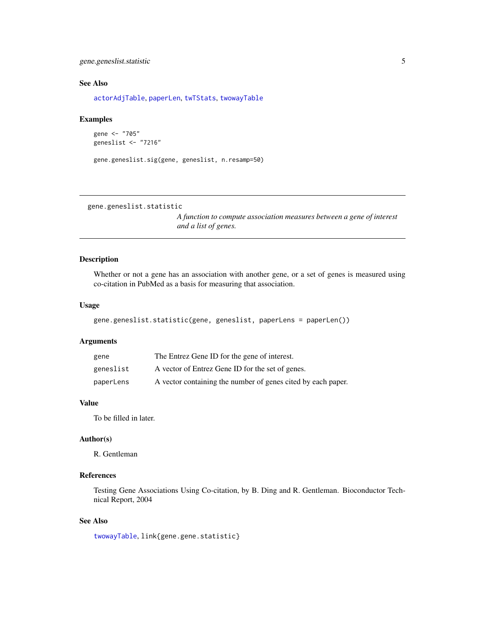#### <span id="page-4-0"></span>gene.geneslist.statistic 5

#### See Also

[actorAdjTable](#page-1-1), [paperLen](#page-5-1), [twTStats](#page-7-1), [twowayTable](#page-6-1)

#### Examples

```
gene <- "705"
geneslist <- "7216"
```

```
gene.geneslist.sig(gene, geneslist, n.resamp=50)
```
gene.geneslist.statistic

*A function to compute association measures between a gene of interest and a list of genes.*

#### Description

Whether or not a gene has an association with another gene, or a set of genes is measured using co-citation in PubMed as a basis for measuring that association.

#### Usage

```
gene.geneslist.statistic(gene, geneslist, paperLens = paperLen())
```
#### Arguments

| gene      | The Entrez Gene ID for the gene of interest.                 |
|-----------|--------------------------------------------------------------|
| geneslist | A vector of Entrez Gene ID for the set of genes.             |
| paperLens | A vector containing the number of genes cited by each paper. |

#### Value

To be filled in later.

#### Author(s)

R. Gentleman

### References

Testing Gene Associations Using Co-citation, by B. Ding and R. Gentleman. Bioconductor Technical Report, 2004

#### See Also

[twowayTable](#page-6-1), link{gene.gene.statistic}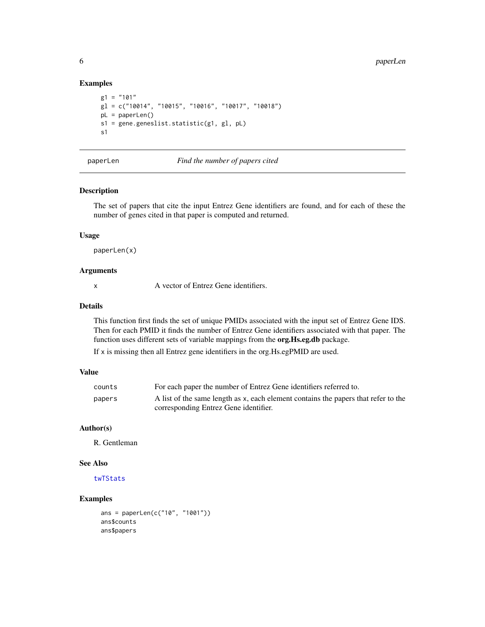#### Examples

```
g1 = "101"gl = c("10014", "10015", "10016", "10017", "10018")
pL = paperLen()
s1 = gene.geneslist.statistic(g1, gl, pL)
s1
```
<span id="page-5-1"></span>

paperLen *Find the number of papers cited*

#### Description

The set of papers that cite the input Entrez Gene identifiers are found, and for each of these the number of genes cited in that paper is computed and returned.

#### Usage

paperLen(x)

#### Arguments

x A vector of Entrez Gene identifiers.

### Details

This function first finds the set of unique PMIDs associated with the input set of Entrez Gene IDS. Then for each PMID it finds the number of Entrez Gene identifiers associated with that paper. The function uses different sets of variable mappings from the org.Hs.eg.db package.

If x is missing then all Entrez gene identifiers in the org.Hs.egPMID are used.

#### Value

| counts | For each paper the number of Entrez Gene identifiers referred to.                  |
|--------|------------------------------------------------------------------------------------|
| papers | A list of the same length as x, each element contains the papers that refer to the |
|        | corresponding Entrez Gene identifier.                                              |

#### Author(s)

R. Gentleman

#### See Also

#### [twTStats](#page-7-1)

### Examples

```
ans = paperLen(c("10", "1001"))
ans$counts
ans$papers
```
<span id="page-5-0"></span>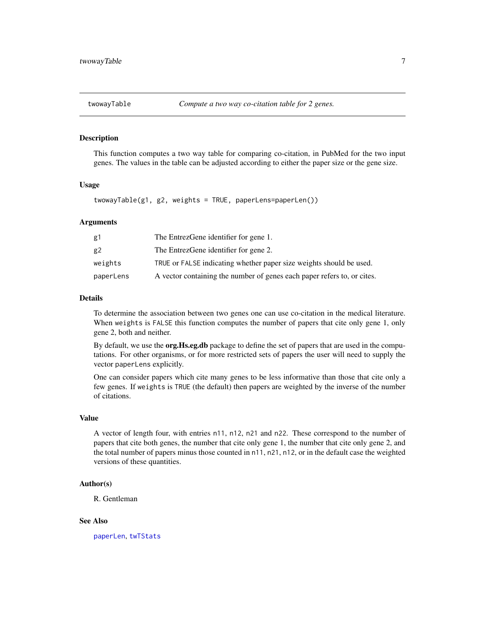<span id="page-6-1"></span><span id="page-6-0"></span>

#### Description

This function computes a two way table for comparing co-citation, in PubMed for the two input genes. The values in the table can be adjusted according to either the paper size or the gene size.

#### Usage

```
twowayTable(g1, g2, weights = TRUE, paperLens=paperLen())
```
#### Arguments

| g1        | The EntrezGene identifier for gene 1.                                   |
|-----------|-------------------------------------------------------------------------|
| g2        | The EntrezGene identifier for gene 2.                                   |
| weights   | TRUE or FALSE indicating whether paper size weights should be used.     |
| paperLens | A vector containing the number of genes each paper refers to, or cites. |

#### Details

To determine the association between two genes one can use co-citation in the medical literature. When weights is FALSE this function computes the number of papers that cite only gene 1, only gene 2, both and neither.

By default, we use the **org.Hs.eg.db** package to define the set of papers that are used in the computations. For other organisms, or for more restricted sets of papers the user will need to supply the vector paperLens explicitly.

One can consider papers which cite many genes to be less informative than those that cite only a few genes. If weights is TRUE (the default) then papers are weighted by the inverse of the number of citations.

#### Value

A vector of length four, with entries n11, n12, n21 and n22. These correspond to the number of papers that cite both genes, the number that cite only gene 1, the number that cite only gene 2, and the total number of papers minus those counted in n11, n21, n12, or in the default case the weighted versions of these quantities.

#### Author(s)

R. Gentleman

#### See Also

[paperLen](#page-5-1), [twTStats](#page-7-1)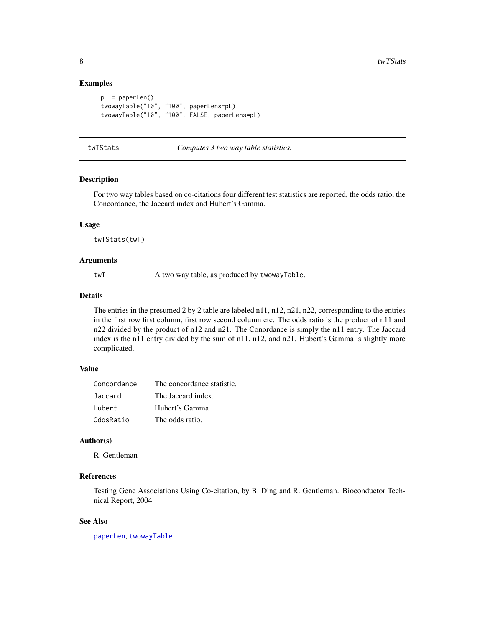#### Examples

```
pL = paperLen()
twowayTable("10", "100", paperLens=pL)
twowayTable("10", "100", FALSE, paperLens=pL)
```
#### <span id="page-7-1"></span>twTStats *Computes 3 two way table statistics.*

#### Description

For two way tables based on co-citations four different test statistics are reported, the odds ratio, the Concordance, the Jaccard index and Hubert's Gamma.

#### Usage

twTStats(twT)

#### Arguments

twT A two way table, as produced by twowayTable.

#### Details

The entries in the presumed 2 by 2 table are labeled n11, n12, n21, n22, corresponding to the entries in the first row first column, first row second column etc. The odds ratio is the product of n11 and n22 divided by the product of n12 and n21. The Conordance is simply the n11 entry. The Jaccard index is the n11 entry divided by the sum of n11, n12, and n21. Hubert's Gamma is slightly more complicated.

#### Value

| Concordance | The concordance statistic. |
|-------------|----------------------------|
| Jaccard     | The Jaccard index.         |
| Hubert      | Hubert's Gamma             |
| OddsRatio   | The odds ratio.            |

#### Author(s)

R. Gentleman

#### References

Testing Gene Associations Using Co-citation, by B. Ding and R. Gentleman. Bioconductor Technical Report, 2004

#### See Also

[paperLen](#page-5-1), [twowayTable](#page-6-1)

<span id="page-7-0"></span>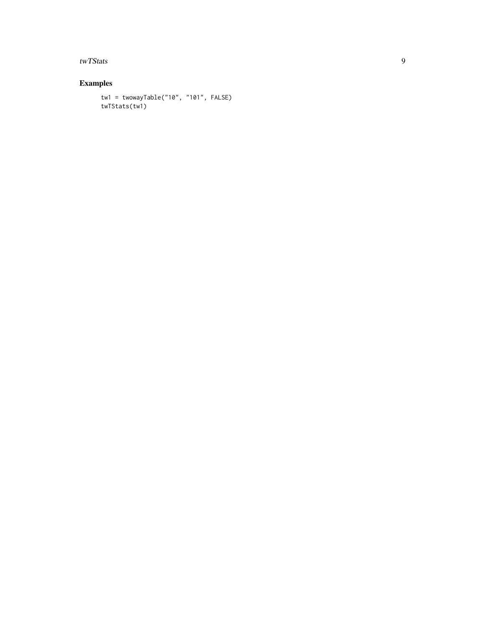twTStats

### Examples

```
tw1 = twowayTable("10", "101", FALSE)
twTStats(tw1)
```